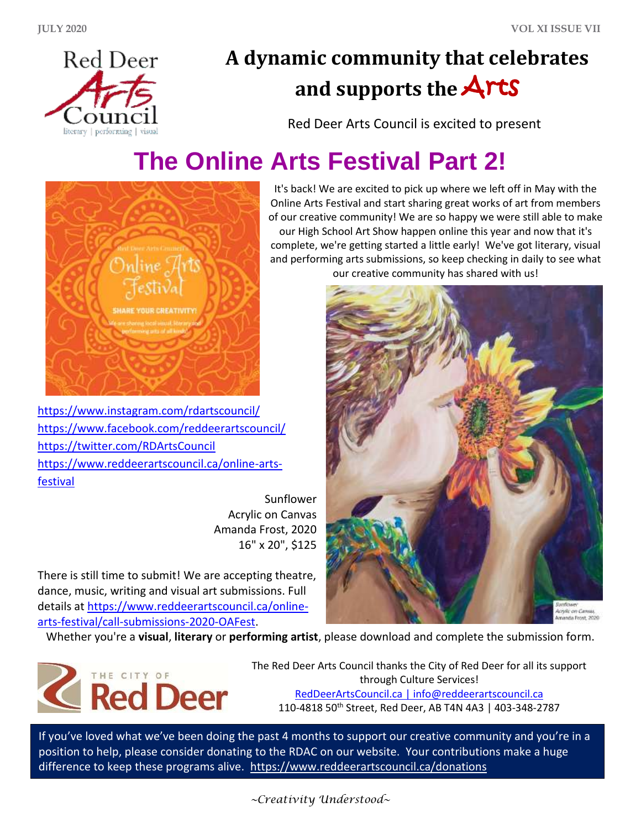

## **A dynamic community that celebrates and supports the** Arts

Red Deer Arts Council is excited to present

## **The Online Arts Festival Part 2!**



<https://www.instagram.com/rdartscouncil/> <https://www.facebook.com/reddeerartscouncil/> <https://twitter.com/RDArtsCouncil> [https://www.reddeerartscouncil.ca/online-arts](https://www.reddeerartscouncil.ca/online-arts-festival)[festival](https://www.reddeerartscouncil.ca/online-arts-festival)

> Sunflower Acrylic on Canvas Amanda Frost, 2020 16" x 20", \$125

There is still time to submit! We are accepting theatre, dance, music, writing and visual art submissions. Full details at [https://www.reddeerartscouncil.ca/online](https://www.reddeerartscouncil.ca/online-arts-festival/call-submissions-2020-OAFest)[arts-festival/call-submissions-2020-OAFest.](https://www.reddeerartscouncil.ca/online-arts-festival/call-submissions-2020-OAFest)

It's back! We are excited to pick up where we left off in May with the Online Arts Festival and start sharing great works of art from members of our creative community! We are so happy we were still able to make our High School Art Show happen online this year and now that it's complete, we're getting started a little early! We've got literary, visual and performing arts submissions, so keep checking in daily to see what our creative community has shared with us!



Whether you're a **visual**, **literary** or **performing artist**, please download and complete the submission form.



The Red Deer Arts Council thanks the City of Red Deer for all its support through Culture Services! [RedDeerArtsCouncil.ca](http://www.reddeerartscouncil.ca/) [| info@reddeerartscouncil.ca](mailto:info@reddeerartscouncil.ca) 110-4818 50th Street, Red Deer, AB T4N 4A3 | 403-348-2787

If you've loved what we've been doing the past 4 months to support our creative community and you're in a position to help, please consider donating to the RDAC on our website. Your contributions make a huge difference to keep these programs alive. <https://www.reddeerartscouncil.ca/donations>

*~Creativity Understood~*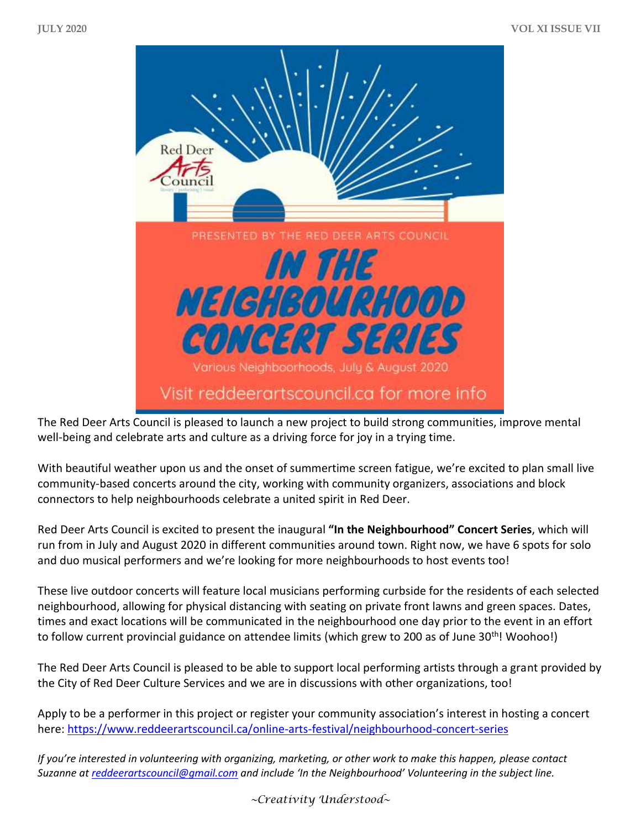

The Red Deer Arts Council is pleased to launch a new project to build strong communities, improve mental well-being and celebrate arts and culture as a driving force for joy in a trying time.

With beautiful weather upon us and the onset of summertime screen fatigue, we're excited to plan small live community-based concerts around the city, working with community organizers, associations and block connectors to help neighbourhoods celebrate a united spirit in Red Deer.

Red Deer Arts Council is excited to present the inaugural **"In the Neighbourhood" Concert Series**, which will run from in July and August 2020 in different communities around town. Right now, we have 6 spots for solo and duo musical performers and we're looking for more neighbourhoods to host events too!

These live outdoor concerts will feature local musicians performing curbside for the residents of each selected neighbourhood, allowing for physical distancing with seating on private front lawns and green spaces. Dates, times and exact locations will be communicated in the neighbourhood one day prior to the event in an effort to follow current provincial guidance on attendee limits (which grew to 200 as of June 30<sup>th</sup>! Woohoo!)

The Red Deer Arts Council is pleased to be able to support local performing artists through a grant provided by the City of Red Deer Culture Services and we are in discussions with other organizations, too!

Apply to be a performer in this project or register your community association's interest in hosting a concert here:<https://www.reddeerartscouncil.ca/online-arts-festival/neighbourhood-concert-series>

*If you're interested in volunteering with organizing, marketing, or other work to make this happen, please contact Suzanne a[t reddeerartscouncil@gmail.com](mailto:reddeerartscouncil@gmail.com) and include 'In the Neighbourhood' Volunteering in the subject line.* 

*~Creativity Understood~*